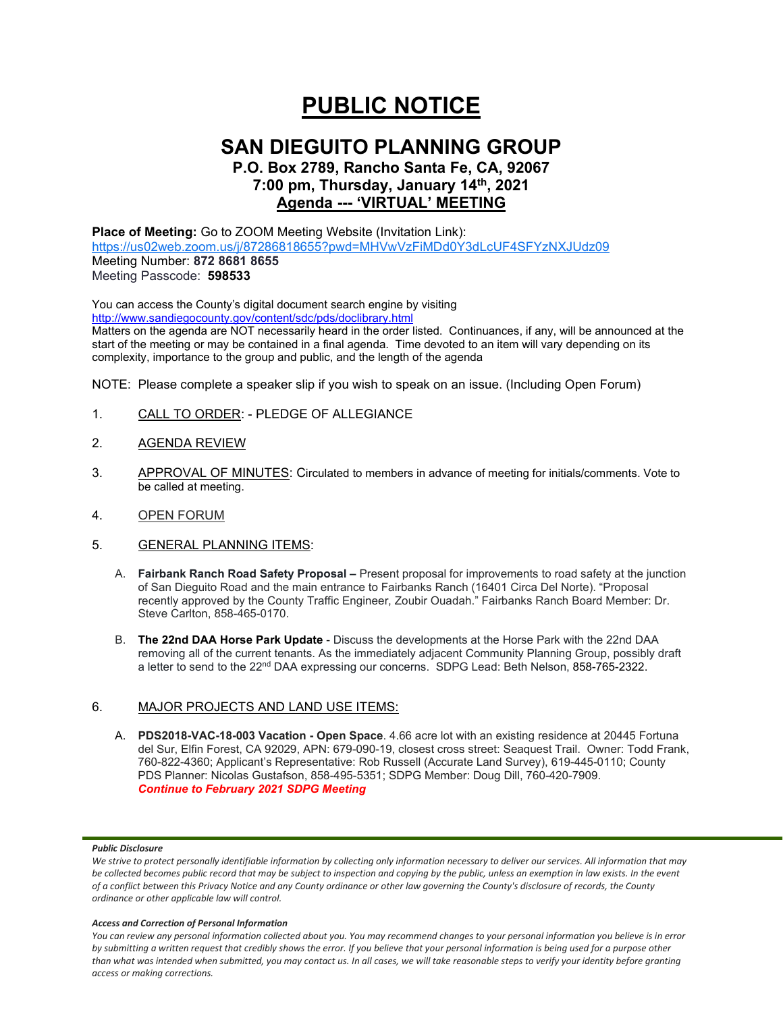# **PUBLIC NOTICE**

## **SAN DIEGUITO PLANNING GROUP**

## **P.O. Box 2789, Rancho Santa Fe, CA, 92067 7:00 pm, Thursday, January 14th, 2021 Agenda --- 'VIRTUAL' MEETING**

**Place of Meeting:** Go to ZOOM Meeting Website (Invitation Link): <https://us02web.zoom.us/j/87286818655?pwd=MHVwVzFiMDd0Y3dLcUF4SFYzNXJUdz09> Meeting Number: **872 8681 8655** Meeting Passcode: **598533**

You can access the County's digital document search engine by visiting <http://www.sandiegocounty.gov/content/sdc/pds/doclibrary.html>

Matters on the agenda are NOT necessarily heard in the order listed. Continuances, if any, will be announced at the start of the meeting or may be contained in a final agenda. Time devoted to an item will vary depending on its complexity, importance to the group and public, and the length of the agenda

NOTE: Please complete a speaker slip if you wish to speak on an issue. (Including Open Forum)

- 1. CALL TO ORDER: PLEDGE OF ALLEGIANCE
- 2. AGENDA REVIEW
- 3. APPROVAL OF MINUTES: Circulated to members in advance of meeting for initials/comments. Vote to be called at meeting.
- 4. OPEN FORUM
- 5. GENERAL PLANNING ITEMS:
	- A. **Fairbank Ranch Road Safety Proposal –** Present proposal for improvements to road safety at the junction of San Dieguito Road and the main entrance to Fairbanks Ranch (16401 Circa Del Norte). "Proposal recently approved by the County Traffic Engineer, Zoubir Ouadah." Fairbanks Ranch Board Member: Dr. Steve Carlton, 858-465-0170.
	- B. **The 22nd DAA Horse Park Update** Discuss the developments at the Horse Park with the 22nd DAA removing all of the current tenants. As the immediately adjacent Community Planning Group, possibly draft a letter to send to the 22<sup>nd</sup> DAA expressing our concerns. SDPG Lead: Beth Nelson, 858-765-2322.

## 6. MAJOR PROJECTS AND LAND USE ITEMS:

A. **PDS2018-VAC-18-003 Vacation - Open Space**. 4.66 acre lot with an existing residence at 20445 Fortuna del Sur, Elfin Forest, CA 92029, APN: 679-090-19, closest cross street: Seaquest Trail. Owner: Todd Frank, 760-822-4360; Applicant's Representative: Rob Russell (Accurate Land Survey), 619-445-0110; County PDS Planner: Nicolas Gustafson, 858-495-5351; SDPG Member: Doug Dill, 760-420-7909. *Continue to February 2021 SDPG Meeting*

#### *Public Disclosure*

#### *Access and Correction of Personal Information*

*You can review any personal information collected about you. You may recommend changes to your personal information you believe is in error by submitting a written request that credibly shows the error. If you believe that your personal information is being used for a purpose other than what was intended when submitted, you may contact us. In all cases, we will take reasonable steps to verify your identity before granting access or making corrections.*

We strive to protect personally identifiable information by collecting only information necessary to deliver our services. All information that may *be collected becomes public record that may be subject to inspection and copying by the public, unless an exemption in law exists. In the event of a conflict between this Privacy Notice and any County ordinance or other law governing the County's disclosure of records, the County ordinance or other applicable law will control.*